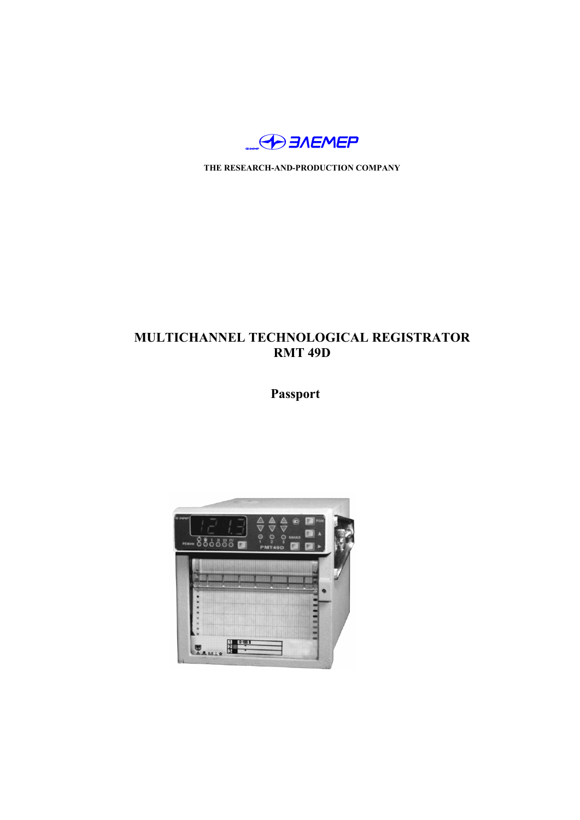

**THE RESEARCH-AND-PRODUCTION COMPANY**

# **MULTICHANNEL TECHNOLOGICAL REGISTRATOR RMT 49D**

**Passport**

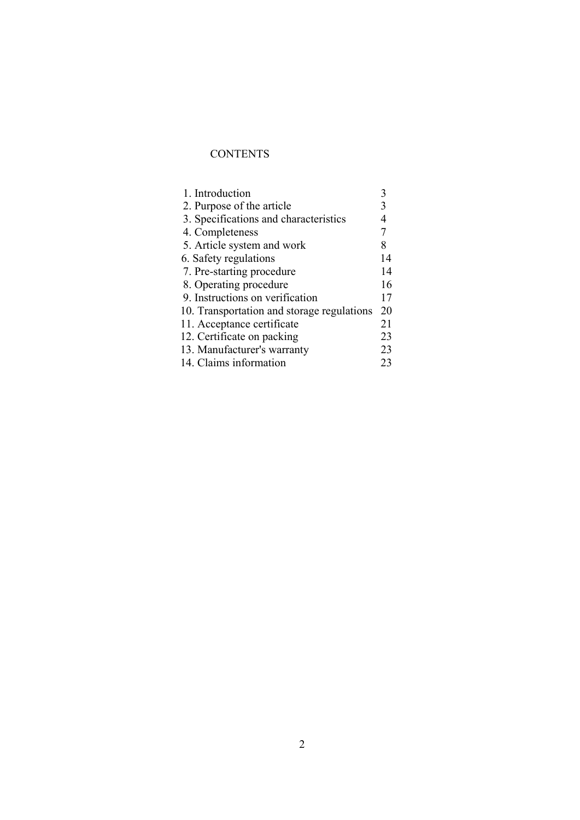## **CONTENTS**

| 1. Introduction                            |    |
|--------------------------------------------|----|
| 2. Purpose of the article                  |    |
| 3. Specifications and characteristics      |    |
| 4. Completeness                            |    |
| 5. Article system and work                 | 8  |
| 6. Safety regulations                      | 14 |
| 7. Pre-starting procedure                  | 14 |
| 8. Operating procedure                     | 16 |
| 9. Instructions on verification            | 17 |
| 10. Transportation and storage regulations | 20 |
| 11. Acceptance certificate                 | 21 |
| 12. Certificate on packing                 | 23 |
| 13. Manufacturer's warranty                | 23 |
| 14. Claims information                     | 23 |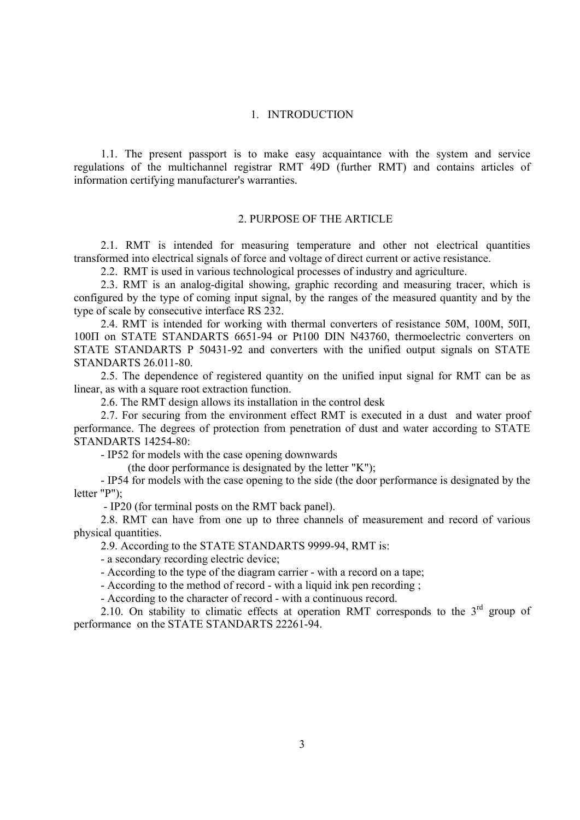## 1. INTRODUCTION

1.1. The present passport is to make easy acquaintance with the system and service regulations of the multichannel registrar RMT 49D (further RMT) and contains articles of information certifying manufacturer's warranties.

#### 2. PURPOSE OF THE ARTICLE

2.1. RMT is intended for measuring temperature and other not electrical quantities transformed into electrical signals of force and voltage of direct current or active resistance.

2.2. RMT is used in various technological processes of industry and agriculture.

2.3. RMT is an analog-digital showing, graphic recording and measuring tracer, which is configured by the type of coming input signal, by the ranges of the measured quantity and by the type of scale by consecutive interface RS 232.

2.4. RMT is intended for working with thermal converters of resistance 50М, 100М, 50П, 100П on STATE STANDARTS 6651-94 or Pt100 DIN N43760, thermoelectric converters on STATE STANDARTS Р 50431-92 and converters with the unified output signals on STATE STANDARTS 26.011-80.

2.5. The dependence of registered quantity on the unified input signal for RMT can be as linear, as with a square root extraction function.

2.6. The RMT design allows its installation in the control desk

2.7. For securing from the environment effect RMT is executed in a dust and water proof performance. The degrees of protection from penetration of dust and water according to STATE STANDARTS 14254-80:

- IP52 for models with the case opening downwards

(the door performance is designated by the letter "K");

- IP54 for models with the case opening to the side (the door performance is designated by the letter "Р");

- IP20 (for terminal posts on the RMT back panel).

2.8. RMT can have from one up to three channels of measurement and record of various physical quantities.

2.9. According to the STATE STANDARTS 9999-94, RMT is:

- a secondary recording electric device;

- According to the type of the diagram carrier - with a record on a tape;

- According to the method of record - with a liquid ink pen recording ;

- According to the character of record - with a continuous record.

2.10. On stability to climatic effects at operation RMT corresponds to the  $3<sup>rd</sup>$  group of performance on the STATE STANDARTS 22261-94.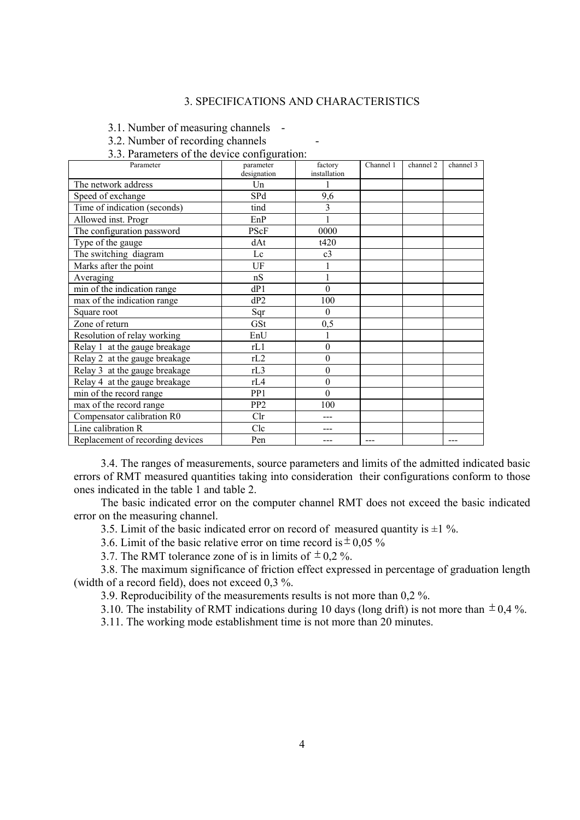## 3. SPECIFICATIONS AND CHARACTERISTICS

3.1. Number of measuring channels -

- 3.2. Number of recording channels -
- 3.3. Parameters of the device configuration:

| Parameter                        | parameter       | factory                 | Channel 1 | channel 2 | channel 3 |
|----------------------------------|-----------------|-------------------------|-----------|-----------|-----------|
|                                  | designation     | installation            |           |           |           |
| The network address              | Un              |                         |           |           |           |
| Speed of exchange                | SPd             | 9,6                     |           |           |           |
| Time of indication (seconds)     | tind            | $\overline{\mathbf{3}}$ |           |           |           |
| Allowed inst. Progr              | EnP             |                         |           |           |           |
| The configuration password       | PScF            | 0000                    |           |           |           |
| Type of the gauge                | dAt             | t420                    |           |           |           |
| The switching diagram            | Lc              | c <sub>3</sub>          |           |           |           |
| Marks after the point            | UF              | 1                       |           |           |           |
| Averaging                        | nS              | $\mathbf{1}$            |           |           |           |
| min of the indication range      | dP1             | $\theta$                |           |           |           |
| max of the indication range      | dP2             | 100                     |           |           |           |
| Square root                      | Sqr             | $\theta$                |           |           |           |
| Zone of return                   | GSt             | 0,5                     |           |           |           |
| Resolution of relay working      | EnU             | $\mathbf{1}$            |           |           |           |
| Relay 1 at the gauge breakage    | rL1             | $\mathbf{0}$            |           |           |           |
| Relay 2 at the gauge breakage    | rL2             | $\boldsymbol{0}$        |           |           |           |
| Relay 3 at the gauge breakage    | rL3             | $\theta$                |           |           |           |
| Relay 4 at the gauge breakage    | rL4             | $\boldsymbol{0}$        |           |           |           |
| min of the record range          | PP1             | $\theta$                |           |           |           |
| max of the record range          | PP <sub>2</sub> | 100                     |           |           |           |
| Compensator calibration R0       | Clr             |                         |           |           |           |
| Line calibration R               | Clc             |                         |           |           |           |
| Replacement of recording devices | Pen             |                         |           |           | ---       |

3.4. The ranges of measurements, source parameters and limits of the admitted indicated basic errors of RMT measured quantities taking into consideration their configurations conform to those ones indicated in the table 1 and table 2.

The basic indicated error on the computer channel RMT does not exceed the basic indicated error on the measuring channel.

3.5. Limit of the basic indicated error on record of measured quantity is  $\pm 1\%$ .

3.6. Limit of the basic relative error on time record is  $\pm$  0,05 %

3.7. The RMT tolerance zone of is in limits of  $\pm$  0.2 %.

3.8. The maximum significance of friction effect expressed in percentage of graduation length (width of a record field), does not exceed 0,3 %.

3.9. Reproducibility of the measurements results is not more than 0,2 %.

3.10. The instability of RMT indications during 10 days (long drift) is not more than  $\pm$  0,4 %.

3.11. The working mode establishment time is not more than 20 minutes.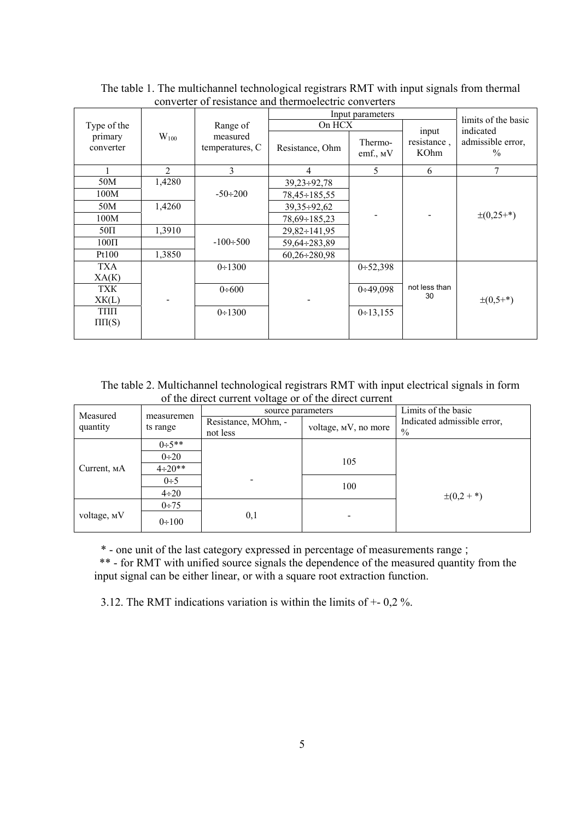|                      |           |                             |                     | Input parameters       |                              |                                                 |
|----------------------|-----------|-----------------------------|---------------------|------------------------|------------------------------|-------------------------------------------------|
| Type of the          |           | Range of                    | On HCX              |                        |                              | limits of the basic                             |
| primary<br>converter | $W_{100}$ | measured<br>temperatures, C | Resistance, Ohm     | Thermo-<br>emf., $M$ V | input<br>resistance,<br>KOhm | indicated<br>admissible error,<br>$\frac{0}{0}$ |
|                      | 2         | 3                           | 4                   | 5                      | 6                            | 7                                               |
| 50M                  | 1,4280    |                             | $39,23 \div 92,78$  |                        |                              |                                                 |
| 100M                 |           | $-50 \div 200$              | $78,45 \div 185,55$ |                        |                              |                                                 |
| 50M                  | 1,4260    |                             | $39,35 \div 92,62$  |                        |                              |                                                 |
| 100M                 |           |                             | $78,69 \div 185,23$ |                        |                              | $\pm (0, 25^{+})$                               |
| $50\Pi$              | 1,3910    |                             | $29,82 \div 141,95$ |                        |                              |                                                 |
| $100\Pi$             |           | $-100 \div 500$             | $59,64 \div 283,89$ |                        |                              |                                                 |
| Pt100                | 1,3850    |                             | $60,26 \div 280,98$ |                        |                              |                                                 |
| <b>TXA</b>           |           | 0:1300                      |                     | 0:52,398               |                              |                                                 |
| XA(K)                |           |                             |                     |                        |                              |                                                 |
| <b>TXK</b>           |           | 0:600                       |                     | 0:49,098               | not less than<br>30          |                                                 |
| XK(L)                |           |                             |                     |                        |                              | $\pm (0, 5^{+})$                                |
| ТПП                  |           | 0:1300                      |                     | 0:13,155               |                              |                                                 |
| $\Pi \Pi(S)$         |           |                             |                     |                        |                              |                                                 |
|                      |           |                             |                     |                        |                              |                                                 |

The table 1. The multichannel technological registrars RMT with input signals from thermal converter of resistance and thermoelectric converters

The table 2. Multichannel technological registrars RMT with input electrical signals in form of the direct current voltage or of the direct current

| Measured    |                        | source parameters               |                      | Limits of the basic                 |
|-------------|------------------------|---------------------------------|----------------------|-------------------------------------|
| quantity    | measuremen<br>ts range | Resistance, MOhm, -<br>not less | voltage, MV, no more | Indicated admissible error,<br>$\%$ |
|             | $0:5**$                |                                 |                      |                                     |
|             | $0 \div 20$            |                                 | 105                  |                                     |
| Current, MA | $4 \div 20**$          |                                 |                      |                                     |
|             | $0\div 5$              |                                 | 100                  |                                     |
|             | $4\div 20$             |                                 |                      | $\pm(0,2 + *)$                      |
|             | $0 \div 75$            |                                 |                      |                                     |
| voltage, MV | $0 \div 100$           | 0,1                             |                      |                                     |

\* - one unit of the last category expressed in percentage of measurements range ;

\*\* - for RMT with unified source signals the dependence of the measured quantity from the input signal can be either linear, or with a square root extraction function.

3.12. The RMT indications variation is within the limits of +- 0,2 %.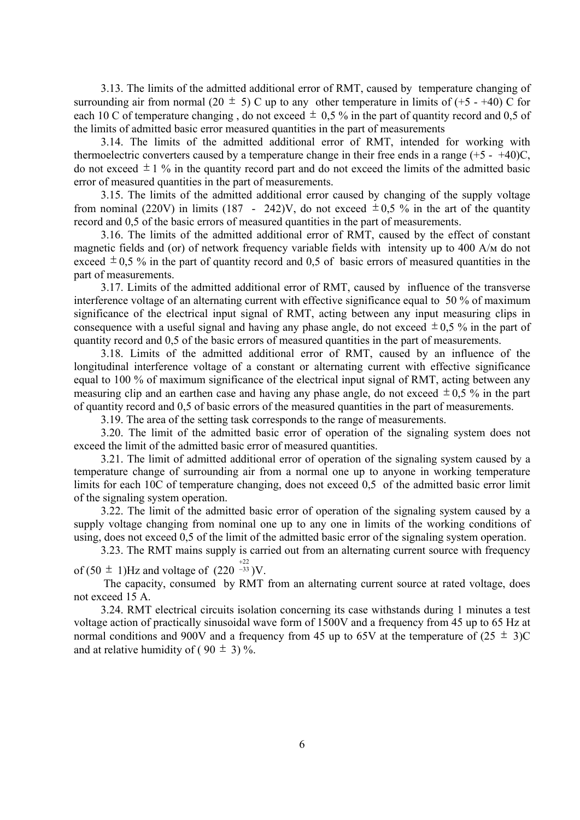3.13. The limits of the admitted additional error of RMT, caused by temperature changing of surrounding air from normal (20  $\pm$  5) C up to any other temperature in limits of (+5 - +40) C for each 10 C of temperature changing, do not exceed  $\pm$  0.5 % in the part of quantity record and 0.5 of the limits of admitted basic error measured quantities in the part of measurements

3.14. The limits of the admitted additional error of RMT, intended for working with thermoelectric converters caused by a temperature change in their free ends in a range  $(+5 - +40)C$ , do not exceed  $\pm 1$  % in the quantity record part and do not exceed the limits of the admitted basic error of measured quantities in the part of measurements.

3.15. The limits of the admitted additional error caused by changing of the supply voltage from nominal (220V) in limits (187 - 242)V, do not exceed  $\pm 0.5$  % in the art of the quantity record and 0,5 of the basic errors of measured quantities in the part of measurements.

3.16. The limits of the admitted additional error of RMT, caused by the effect of constant magnetic fields and (or) of network frequency variable fields with intensity up to 400 А/м do not exceed  $\pm$  0.5 % in the part of quantity record and 0.5 of basic errors of measured quantities in the part of measurements.

3.17. Limits of the admitted additional error of RMT, caused by influence of the transverse interference voltage of an alternating current with effective significance equal to 50 % of maximum significance of the electrical input signal of RMT, acting between any input measuring clips in consequence with a useful signal and having any phase angle, do not exceed  $\pm 0.5$  % in the part of quantity record and 0,5 of the basic errors of measured quantities in the part of measurements.

3.18. Limits of the admitted additional error of RMT, caused by an influence of the longitudinal interference voltage of a constant or alternating current with effective significance equal to 100 % of maximum significance of the electrical input signal of RMT, acting between any measuring clip and an earthen case and having any phase angle, do not exceed  $\pm 0.5$  % in the part of quantity record and 0,5 of basic errors of the measured quantities in the part of measurements.

3.19. The area of the setting task corresponds to the range of measurements.

3.20. The limit of the admitted basic error of operation of the signaling system does not exceed the limit of the admitted basic error of measured quantities.

3.21. The limit of admitted additional error of operation of the signaling system caused by a temperature change of surrounding air from a normal one up to anyone in working temperature limits for each 10С of temperature changing, does not exceed 0,5 of the admitted basic error limit of the signaling system operation.

3.22. The limit of the admitted basic error of operation of the signaling system caused by a supply voltage changing from nominal one up to any one in limits of the working conditions of using, does not exceed 0,5 of the limit of the admitted basic error of the signaling system operation.

3.23. The RMT mains supply is carried out from an alternating current source with frequency

of (50  $\pm$  1)Hz and voltage of (220<sup>-33</sup> 33 +22<br>−33 )V.

 The capacity, consumed by RMT from an alternating current source at rated voltage, does not exceed 15 А.

3.24. RMT electrical circuits isolation concerning its case withstands during 1 minutes a test voltage action of practically sinusoidal wave form of 1500V and a frequency from 45 up to 65 Hz at normal conditions and 900V and a frequency from 45 up to 65V at the temperature of  $(25 \pm 3)C$ and at relative humidity of (90  $\pm$  3) %.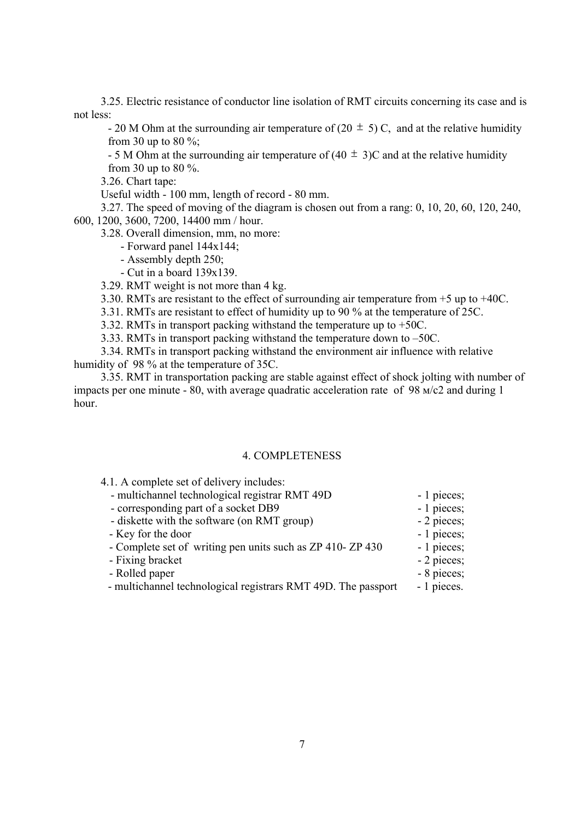3.25. Electric resistance of conductor line isolation of RMT circuits concerning its case and is not less:

- 20 M Ohm at the surrounding air temperature of (20  $\pm$  5) C, and at the relative humidity from 30 up to 80  $\%$ ;

- 5 M Ohm at the surrounding air temperature of  $(40 \pm 3)$ C and at the relative humidity from 30 up to 80 %.

3.26. Chart tape:

Useful width - 100 mm, length of record - 80 mm.

3.27. The speed of moving of the diagram is chosen out from a rang: 0, 10, 20, 60, 120, 240, 600, 1200, 3600, 7200, 14400 mm / hour.

3.28. Overall dimension, mm, no more:

- Forward panel 144х144;

- Assembly depth 250;
- Cut in a board 139х139.
- 3.29. RMT weight is not more than 4 kg.

3.30. RMTs are resistant to the effect of surrounding air temperature from +5 up to +40С.

3.31. RMTs are resistant to effect of humidity up to 90 % at the temperature of 25С.

3.32. RMTs in transport packing withstand the temperature up to +50С.

3.33. RMTs in transport packing withstand the temperature down to –50С.

3.34. RMTs in transport packing withstand the environment air influence with relative humidity of 98 % at the temperature of 35С.

3.35. RMT in transportation packing are stable against effect of shock jolting with number of impacts per one minute - 80, with average quadratic acceleration rate of 98 м/с2 and during 1 hour.

#### 4. COMPLETENESS

| - multichannel technological registrar RMT 49D                | - 1 pieces; |
|---------------------------------------------------------------|-------------|
| - corresponding part of a socket DB9                          | - 1 pieces; |
| - diskette with the software (on RMT group)                   | - 2 pieces; |
| - Key for the door                                            | - 1 pieces; |
| - Complete set of writing pen units such as ZP 410-ZP 430     | - 1 pieces; |
| - Fixing bracket                                              | - 2 pieces; |
| - Rolled paper                                                | - 8 pieces; |
| - multichannel technological registrars RMT 49D. The passport | - 1 pieces. |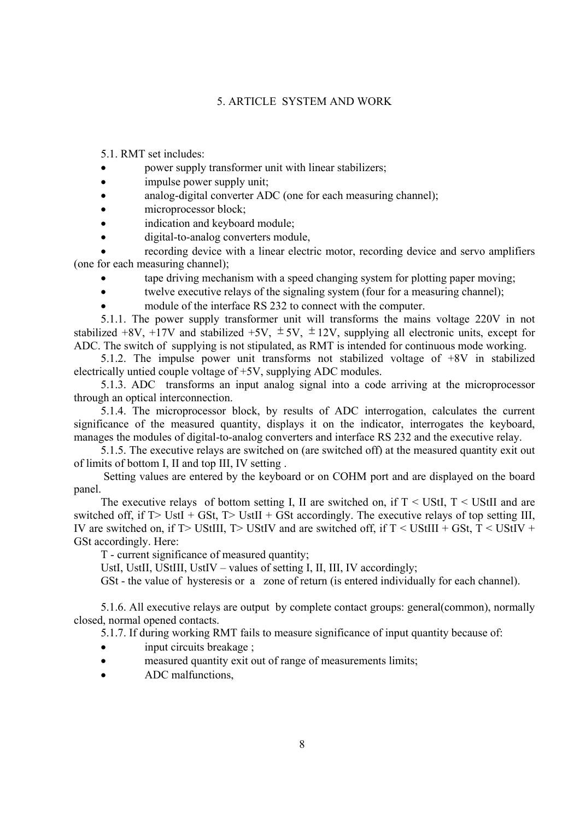#### 5. ARTICLE SYSTEM AND WORK

5.1. RMT set includes:

- power supply transformer unit with linear stabilizers;
- impulse power supply unit;
- analog-digital converter ADC (one for each measuring channel);
- microprocessor block;
- indication and keyboard module;
- digital-to-analog converters module,

recording device with a linear electric motor, recording device and servo amplifiers (one for each measuring channel);

- tape driving mechanism with a speed changing system for plotting paper moving;
- twelve executive relays of the signaling system (four for a measuring channel);
- module of the interface RS 232 to connect with the computer.

5.1.1. The power supply transformer unit will transforms the mains voltage 220V in not stabilized +8V, +17V and stabilized +5V,  $\pm$  5V,  $\pm$  12V, supplying all electronic units, except for АDC. The switch of supplying is not stipulated, as RMT is intended for continuous mode working.

5.1.2. The impulse power unit transforms not stabilized voltage of +8V in stabilized electrically untied couple voltage of +5V, supplying ADC modules.

5.1.3. ADC transforms an input analog signal into a code arriving at the microprocessor through an optical interconnection.

5.1.4. The microprocessor block, by results of ADC interrogation, calculates the current significance of the measured quantity, displays it on the indicator, interrogates the keyboard, manages the modules of digital-to-analog converters and interface RS 232 and the executive relay.

5.1.5. The executive relays are switched on (are switched off) at the measured quantity exit out of limits of bottom I, II and top III, IV setting .

 Setting values are entered by the keyboard or on COHM port and are displayed on the board panel.

The executive relays of bottom setting I, II are switched on, if  $T \leq \text{UStI}$ ,  $T \leq \text{UStII}$  and are switched off, if  $T > UstI + GSt$ ,  $T > UstII + GSt$  accordingly. The executive relays of top setting III, IV are switched on, if  $T$  UStIII,  $T$  UStIV and are switched off, if  $T <$  UStIII + GSt,  $T <$  UStIV + GSt accordingly. Here:

Т - current significance of measured quantity;

UstI, UstII, UStIII, UstIV – values of setting I, II, III, IV accordingly;

GSt - the value of hysteresis or a zone of return (is entered individually for each channel).

5.1.6. All executive relays are output by complete contact groups: general(common), normally closed, normal opened contacts.

5.1.7. If during working RMT fails to measure significance of input quantity because of:

- input circuits breakage ;
- measured quantity exit out of range of measurements limits;
- ADC malfunctions,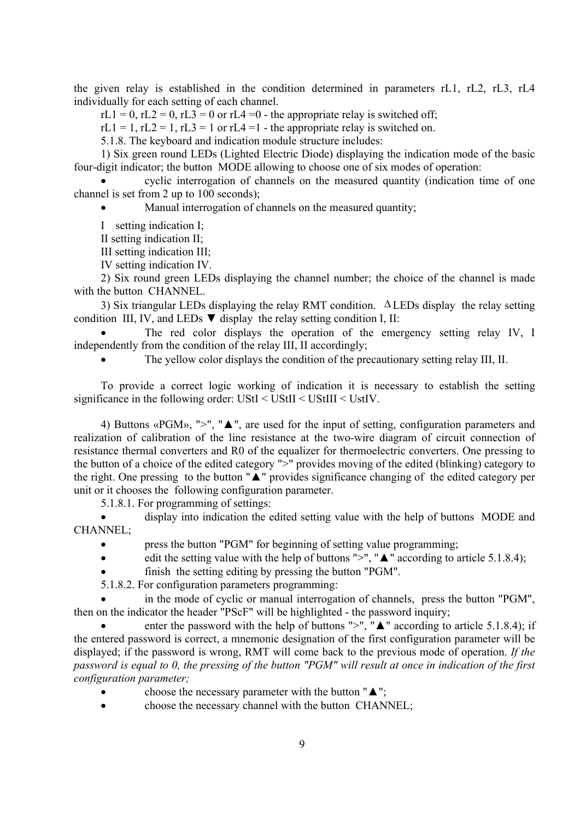the given relay is established in the condition determined in parameters rL1, rL2, rL3, rL4 individually for each setting of each channel.

 $rL1 = 0$ ,  $rL2 = 0$ ,  $rL3 = 0$  or  $rL4 = 0$  - the appropriate relay is switched off;

 $rL1 = 1$ ,  $rL2 = 1$ ,  $rL3 = 1$  or  $rL4 = 1$  - the appropriate relay is switched on.

5.1.8. The keyboard and indication module structure includes:

1) Six green round LEDs (Lighted Electric Diode) displaying the indication mode of the basic four-digit indicator; the button MODE allowing to choose one of six modes of operation:

• cyclic interrogation of channels on the measured quantity (indication time of one channel is set from 2 up to 100 seconds);

Manual interrogation of channels on the measured quantity;

I setting indication I;

II setting indication II;

III setting indication III;

IV setting indication IV.

2) Six round green LEDs displaying the channel number; the choice of the channel is made with the button CHANNEL.

3) Six triangular LEDs displaying the relay RMT condition. Δ LEDs display the relay setting condition III, IV, and LEDs  $\nabla$  display the relay setting condition I, II:

The red color displays the operation of the emergency setting relay IV, I independently from the condition of the relay III, II accordingly;

The vellow color displays the condition of the precautionary setting relay III, II,

To provide a correct logic working of indication it is necessary to establish the setting significance in the following order: UStI < UStII < UStIII < UstIV.

4) Buttons «PGM», ">", "▲", are used for the input of setting, configuration parameters and realization of calibration of the line resistance at the two-wire diagram of circuit connection of resistance thermal converters and R0 of the equalizer for thermoelectric converters. One pressing to the button of a choice of the edited category ">" provides moving of the edited (blinking) category to the right. One pressing to the button "▲" provides significance changing of the edited category per unit or it chooses the following configuration parameter.

5.1.8.1. For programming of settings:

• display into indication the edited setting value with the help of buttons MODE and CHANNEL;

- press the button "PGM" for beginning of setting value programming;
- edit the setting value with the help of buttons ">", " $\triangle$ " according to article 5.1.8.4);
- finish the setting editing by pressing the button "PGM".

5.1.8.2. For configuration parameters programming:

in the mode of cyclic or manual interrogation of channels, press the button "PGM", then on the indicator the header "PScF" will be highlighted - the password inquiry;

enter the password with the help of buttons ">", " $\triangle$ " according to article 5.1.8.4); if the entered password is correct, a mnemonic designation of the first configuration parameter will be displayed; if the password is wrong, RMT will come back to the previous mode of operation. *If the password is equal to 0, the pressing of the button "PGM" will result at once in indication of the first configuration parameter;* 

- choose the necessary parameter with the button " $\blacktriangle$ ";
- choose the necessary channel with the button CHANNEL;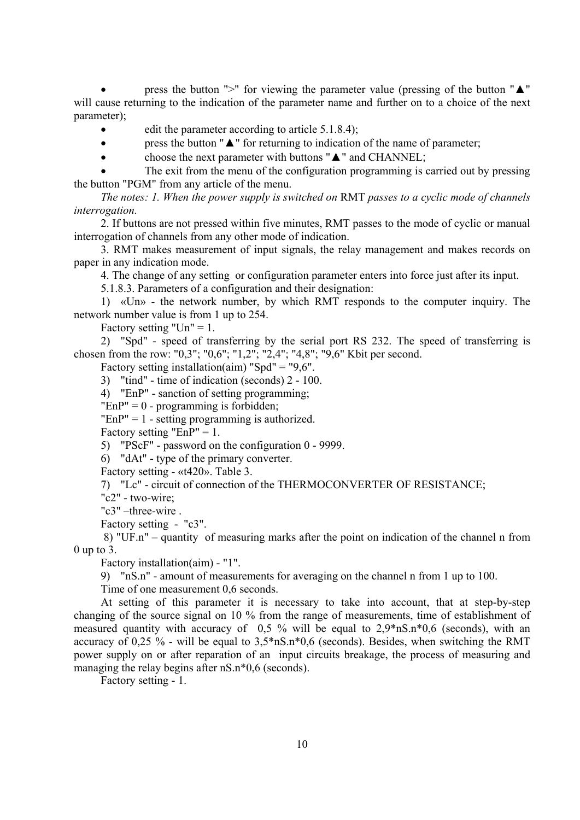press the button " $>$ " for viewing the parameter value (pressing of the button " $\triangle$ " will cause returning to the indication of the parameter name and further on to a choice of the next parameter);

- edit the parameter according to article  $5.1.8.4$ );
- press the button " $\triangle$ " for returning to indication of the name of parameter;
- choose the next parameter with buttons " $\triangle$ " and CHANNEL;

The exit from the menu of the configuration programming is carried out by pressing the button "PGM" from any article of the menu.

*The notes: 1. When the power supply is switched on* RMT *passes to a cyclic mode of channels interrogation.*

2. If buttons are not pressed within five minutes, RMT passes to the mode of cyclic or manual interrogation of channels from any other mode of indication.

3. RMT makes measurement of input signals, the relay management and makes records on paper in any indication mode.

4. The change of any setting or configuration parameter enters into force just after its input.

5.1.8.3. Parameters of a configuration and their designation:

1) «Un» - the network number, by which RMT responds to the computer inquiry. The network number value is from 1 up to 254.

Factory setting "Un"  $= 1$ .

2) "Spd" - speed of transferring by the serial port RS 232. The speed of transferring is chosen from the row: "0,3"; "0,6"; "1,2"; "2,4"; "4,8"; "9,6" Kbit per second.

Factory setting installation(aim) "Spd" = "9,6".

3) "tind" - time of indication (seconds) 2 - 100.

4) "EnP" - sanction of setting programming;

 $"EnP" = 0$  - programming is forbidden;

 $"EnP" = 1 - setting programming is authorized.$ 

Factory setting " $EnP" = 1.$ 

5) "PScF" - password on the configuration 0 - 9999.

6) "dAt" - type of the primary converter.

Factory setting - «t420». Table 3.

7) "Lc" - circuit of connection of the THERMOCONVERTER OF RESISTANCE;

"c2" - two-wire;

"с3" –three-wire .

Factory setting - "c3".

 8) "UF.n" – quantity of measuring marks after the point on indication of the channel n from  $0 \text{ up to } 3$ .

Factory installation(aim) - "1".

9) "nS.n" - amount of measurements for averaging on the channel n from 1 up to 100.

Time of one measurement 0,6 seconds.

At setting of this parameter it is necessary to take into account, that at step-by-step changing of the source signal on 10 % from the range of measurements, time of establishment of measured quantity with accuracy of 0,5 % will be equal to 2,9\*nS.n\*0,6 (seconds), with an accuracy of 0,25 % - will be equal to  $3.5*nS.n*0.6$  (seconds). Besides, when switching the RMT power supply on or after reparation of an input circuits breakage, the process of measuring and managing the relay begins after nS.n<sup>\*</sup>0.6 (seconds).

Factory setting - 1.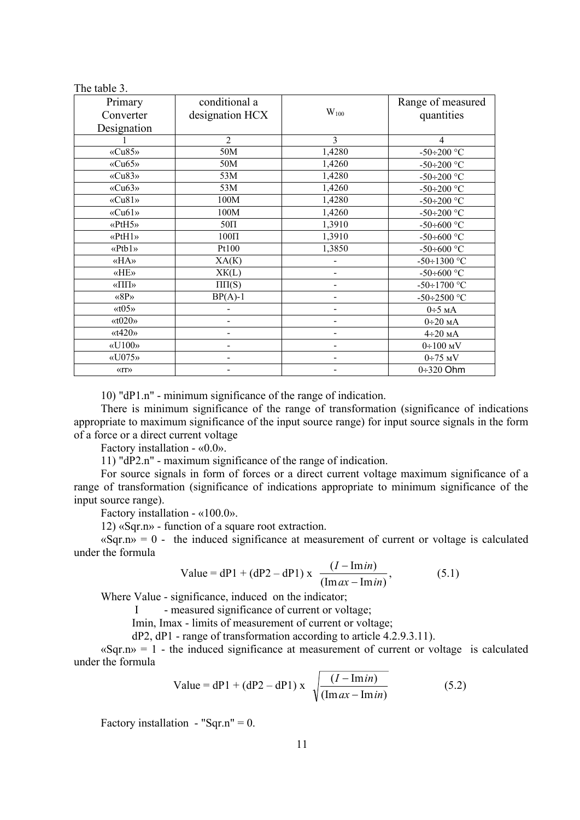| The table 3. |  |  |
|--------------|--|--|
|              |  |  |

| Primary                                          | conditional a                |                          | Range of measured            |
|--------------------------------------------------|------------------------------|--------------------------|------------------------------|
| Converter                                        | designation HCX              | $W_{100}$                | quantities                   |
| Designation                                      |                              |                          |                              |
|                                                  | $\overline{2}$               | $\overline{3}$           | $\overline{4}$               |
| «Cu85»                                           | 50M                          | 1,4280                   | $-50 \div 200$ °C            |
| «Cu65»                                           | 50M                          | 1,4260                   | $-50 \div 200$ °C            |
| $\langle$ Cu83»                                  | 53M                          | 1,4280                   | $-50 \div 200$ °C            |
| «Cu63»                                           | 53M                          | 1,4260                   | $-50 \div 200$ °C            |
| «Cu81»                                           | 100M                         | 1,4280                   | $-50 \div 200$ °C            |
| «Cu61»                                           | 100M                         | 1,4260                   | $-50 \div 200$ °C            |
| «PtH5»                                           | $50\Pi$                      | 1,3910                   | -50÷600 $\,^{\circ}\text{C}$ |
| «PtH1»                                           | $100\Pi$                     | 1,3910                   | $-50 \div 600$ °C            |
| $\langle Ptb1 \rangle$                           | Pt100                        | 1,3850                   | $-50 \div 600$ °C            |
| «HA»                                             | XA(K)                        | $\overline{\phantom{0}}$ | $-50 \div 1300$ °C           |
| «HE»                                             | XK(L)                        | $\overline{\phantom{0}}$ | $-50 \div 600$ °C            |
| $\langle \langle \Pi \Pi \rangle \rangle$        | $\Pi \Pi(S)$                 |                          | $-50 \div 1700$ °C           |
| $\langle \langle 8P \rangle \rangle$             | $BP(A)-1$                    |                          | $-50 \div 2500$ °C           |
| $\langle x(0.5)\rangle$                          |                              |                          | $0\div 5$ MA                 |
| $\langle \langle \text{t} 0 2 0 \rangle \rangle$ | $\qquad \qquad \blacksquare$ | -                        | $0\div 20$ MA                |
| $\langle \langle 1420 \rangle \rangle$           |                              |                          | $4\div 20$ MA                |
| $\langle \langle \text{U100} \rangle \rangle$    |                              |                          | $0\div100$ MV                |
| $\langle 075 \rangle$                            |                              |                          | $0\div 75$ MV                |
| $\langle \langle \text{IT} \rangle \rangle$      |                              |                          | $0\div 320$ Ohm              |

10) "dP1.n" - minimum significance of the range of indication.

There is minimum significance of the range of transformation (significance of indications appropriate to maximum significance of the input source range) for input source signals in the form of a force or a direct current voltage

Factory installation - «0.0».

11) "dP2.n" - maximum significance of the range of indication.

For source signals in form of forces or a direct current voltage maximum significance of a range of transformation (significance of indications appropriate to minimum significance of the input source range).

Factory installation - «100.0».

12) «Sqr.n» - function of a square root extraction.

 $\langle \text{Sqr.nv} \rangle = 0$  - the induced significance at measurement of current or voltage is calculated under the formula

Value = dP1 + (dP2 - dP1) x 
$$
\frac{(I - \text{Im} \,in)}{(\text{Im} \,ax - \text{Im} \,in)}\,,\tag{5.1}
$$

Where Value - significance, induced on the indicator;

I - measured significance of current or voltage;

Imin, Imax - limits of measurement of current or voltage;

dP2, dP1 - range of transformation according to article 4.2.9.3.11).

 $\langle \text{Sqr.nv} \rangle = 1$  - the induced significance at measurement of current or voltage is calculated under the formula

Value = dP1 + (dP2 - dP1) x 
$$
\sqrt{\frac{(I - \text{Im} \, in)}{(\text{Im} \, ax - \text{Im} \, in)}}
$$
 (5.2)

Factory installation - "Sqr.n" =  $0$ .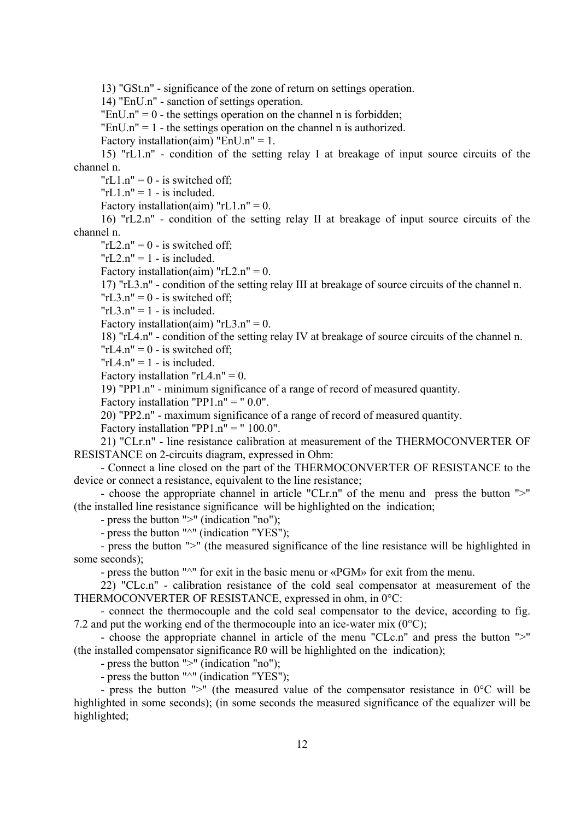13) "GSt.n" - significance of the zone of return on settings operation.

14) "EnU.n" - sanction of settings operation.

"EnU.n" =  $0$  - the settings operation on the channel n is forbidden;

 $"EnU.n" = 1$  - the settings operation on the channel n is authorized.

Factory installation(aim) "EnU.n" = 1.

15) "rL1.n" - condition of the setting relay I at breakage of input source circuits of the channel n.

" $rL1.n" = 0 - is switched off$ ;

" $rL1.n" = 1 - is included.$ 

Factory installation(aim) " $rL1.n" = 0$ .

16) "rL2.n" - condition of the setting relay II at breakage of input source circuits of the channel n.

" $rL2.n" = 0 - is switched off;$ 

 $"rL2.n" = 1 - is included.$ 

Factory installation(aim) " $rL2.n" = 0$ .

17) "rL3.n" - condition of the setting relay III at breakage of source circuits of the channel n.

 $"rL3.n" = 0 - is switched off;$ 

 $"rL3.n" = 1 - is included.$ 

Factory installation(aim) " $rL3.n" = 0$ .

18) "rL4.n" - condition of the setting relay IV at breakage of source circuits of the channel n.

" $rLA.n" = 0 - is switched off;$ 

 $TrLA.n'' = 1 - is included.$ 

Factory installation " $rLA.n" = 0$ .

19) "PP1.n" - minimum significance of a range of record of measured quantity.

Factory installation "PP1.n" = " $0.0$ ".

20) "PP2.n" - maximum significance of a range of record of measured quantity.

Factory installation "PP1.n" = " $100.0$ ".

21) "CLr.n" - line resistance calibration at measurement of the THERMOCONVERTER OF RESISTANCE on 2-circuits diagram, expressed in Оhm:

- Connect a line closed on the part of the THERMOCONVERTER OF RESISTANCE to the device or connect a resistance, equivalent to the line resistance;

- choose the appropriate channel in article "CLr.n" of the menu and press the button ">" (the installed line resistance significance will be highlighted on the indication;

- press the button ">" (indication "no");

- press the button "<sup> $\wedge$ "</sup> (indication "YES");

- press the button ">" (the measured significance of the line resistance will be highlighted in some seconds);

- press the button "^" for exit in the basic menu or «PGM» for exit from the menu.

22) "CLc.n" - calibration resistance of the cold seal compensator at measurement of the THERMOCONVERTER OF RESISTANCE, expressed in ohm, in 0°C:

- connect the thermocouple and the cold seal compensator to the device, according to fig. 7.2 and put the working end of the thermocouple into an ice-water mix  $(0^{\circ}C)$ ;

- choose the appropriate channel in article of the menu "CLc.n" and press the button ">" (the installed compensator significance R0 will be highlighted on the indication);

- press the button ">" (indication "no");

- press the button " $^{\prime\prime\prime}$ " (indication "YES");

- press the button ">" (the measured value of the compensator resistance in 0°С will be highlighted in some seconds); (in some seconds the measured significance of the equalizer will be highlighted;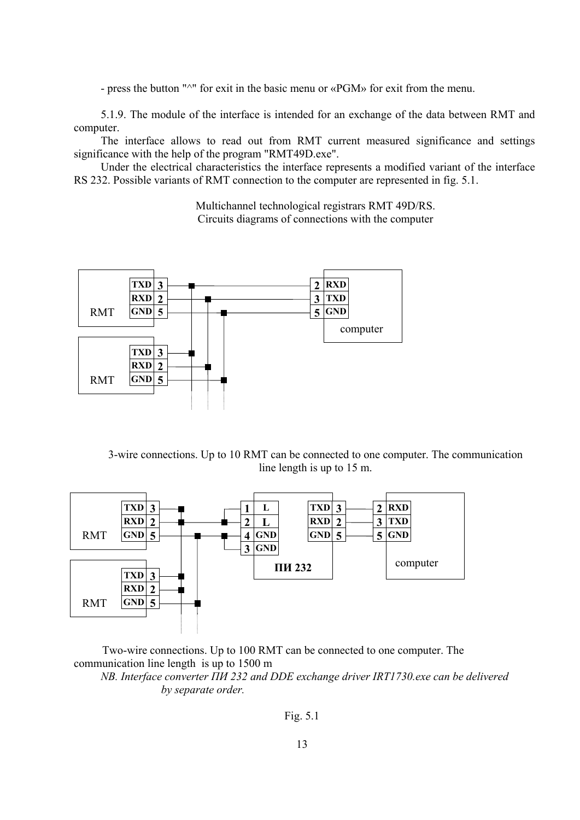- press the button "<sup>^</sup>" for exit in the basic menu or «PGM» for exit from the menu.

5.1.9. The module of the interface is intended for an exchange of the data between RMT and computer.

The interface allows to read out from RMT current measured significance and settings significance with the help of the program "RMT49D.exe".

Under the electrical characteristics the interface represents a modified variant of the interface RS 232. Possible variants of RMT connection to the computer are represented in fig. 5.1.

> Multichannel technological registrars RMT 49D/RS. Circuits diagrams of connections with the computer



3-wire connections. Up to 10 RMT can be connected to one computer. The communication line length is up to 15 m.



 Two-wire connections. Up to 100 RMT can be connected to one computer. The communication line length is up to 1500 m

*NB. Interface converter ПИ 232 and DDE exchange driver IRT1730.exe can be delivered by separate order.*

Fig. 5.1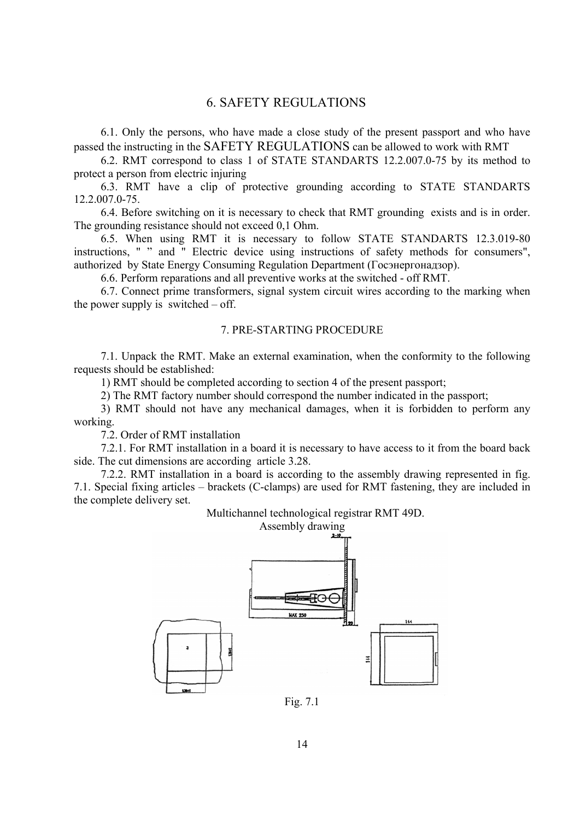## 6. SAFETY REGULATIONS

6.1. Only the persons, who have made a close study of the present passport and who have passed the instructing in the SAFETY REGULATIONS can be allowed to work with RMT

6.2. RMT correspond to class 1 of STATE STANDARTS 12.2.007.0-75 by its method to protect a person from electric injuring

6.3. RMT have a clip of protective grounding according to STATE STANDARTS 12.2.007.0-75.

6.4. Before switching on it is necessary to check that RMT grounding exists and is in order. The grounding resistance should not exceed 0,1 Ohm.

6.5. When using RMT it is necessary to follow STATE STANDARTS 12.3.019-80 instructions, " " and " Electric device using instructions of safety methods for consumers", authorized by State Energy Consuming Regulation Department (Госэнергонадзор).

6.6. Perform reparations and all preventive works at the switched - off RMT.

6.7. Connect prime transformers, signal system circuit wires according to the marking when the power supply is switched  $-$  off.

## 7. PRE-STARTING PROCEDURE

7.1. Unpack the RMT. Make an external examination, when the conformity to the following requests should be established:

1) RMT should be completed according to section 4 of the present passport;

2) The RMT factory number should correspond the number indicated in the passport;

3) RMT should not have any mechanical damages, when it is forbidden to perform any working.

7.2. Order of RMT installation

7.2.1. For RMT installation in a board it is necessary to have access to it from the board back side. The cut dimensions are according article 3.28.

7.2.2. RMT installation in a board is according to the assembly drawing represented in fig. 7.1. Special fixing articles – brackets (C-clamps) are used for RMT fastening, they are included in the complete delivery set.

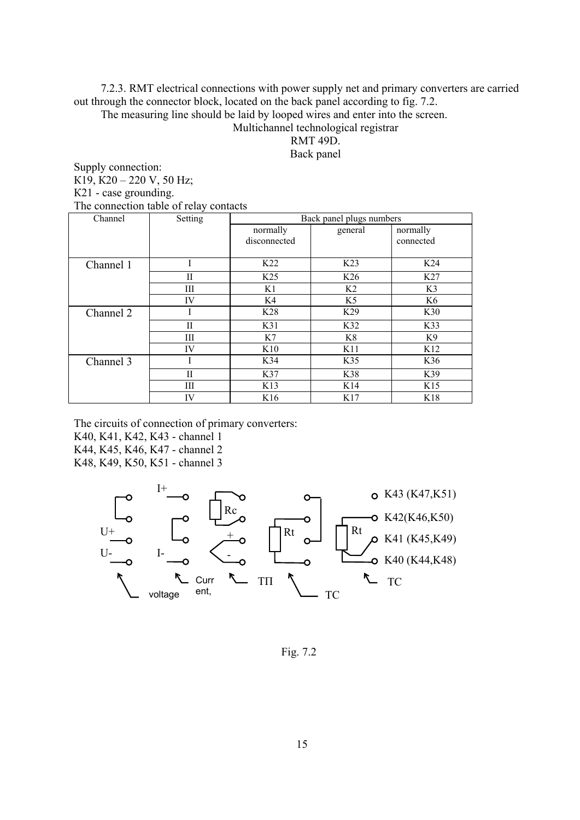7.2.3. RMT electrical connections with power supply net and primary converters are carried out through the connector block, located on the back panel according to fig. 7.2.

The measuring line should be laid by looped wires and enter into the screen.

Multichannel technological registrar

RMT 49D.

Back panel

Supply connection: К19, К20 – 220 V, 50 Hz; К21 - case grounding. The connection table of relay contacts

| Channel   | Setting     |                 | Back panel plugs numbers |                 |
|-----------|-------------|-----------------|--------------------------|-----------------|
|           |             | normally        | general                  | normally        |
|           |             | disconnected    |                          | connected       |
|           |             |                 |                          |                 |
| Channel 1 | Ī           | K <sub>22</sub> | K <sub>23</sub>          | K <sub>24</sub> |
|           | $_{\rm II}$ | K <sub>25</sub> | K <sub>26</sub>          | K27             |
|           | Ш           | K1              | K <sub>2</sub>           | K3              |
|           | IV          | K4              | K <sub>5</sub>           | K <sub>6</sub>  |
| Channel 2 |             | K <sub>28</sub> | K <sub>29</sub>          | K30             |
|           | $_{\rm II}$ | K31             | K32                      | K33             |
|           | Ш           | K7              | K8                       | K9              |
|           | IV          | K10             | K11                      | K12             |
| Channel 3 |             | K34             | K35                      | K36             |
|           | H           | K37             | K38                      | K39             |
|           | Ш           | K <sub>13</sub> | K <sub>14</sub>          | K15             |
|           | IV          | K16             | K17                      | K18             |

The circuits of connection of primary converters:

K40, K41, K42, K43 - channel 1

K44, K45, K46, K47 - channel 2

K48, K49, K50, K51 - channel 3



Fig. 7.2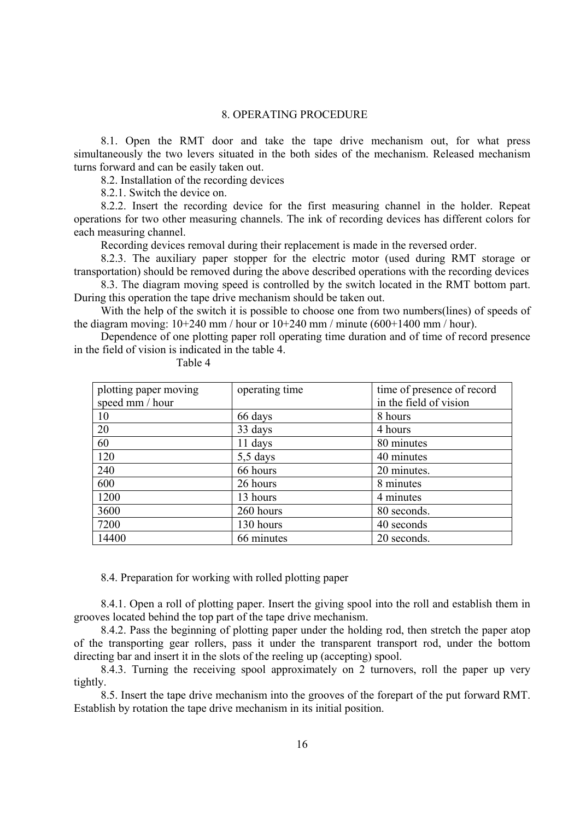#### 8. OPERATING PROCEDURE

8.1. Open the RMT door and take the tape drive mechanism out, for what press simultaneously the two levers situated in the both sides of the mechanism. Released mechanism turns forward and can be easily taken out.

8.2. Installation of the recording devices

8.2.1. Switch the device on.

8.2.2. Insert the recording device for the first measuring channel in the holder. Repeat operations for two other measuring channels. The ink of recording devices has different colors for each measuring channel.

Recording devices removal during their replacement is made in the reversed order.

8.2.3. The auxiliary paper stopper for the electric motor (used during RMT storage or transportation) should be removed during the above described operations with the recording devices

8.3. The diagram moving speed is controlled by the switch located in the RMT bottom part. During this operation the tape drive mechanism should be taken out.

With the help of the switch it is possible to choose one from two numbers(lines) of speeds of the diagram moving:  $10+240$  mm / hour or  $10+240$  mm / minute  $(600+1400$  mm / hour).

Dependence of one plotting paper roll operating time duration and of time of record presence in the field of vision is indicated in the table 4.

| plotting paper moving | operating time | time of presence of record |
|-----------------------|----------------|----------------------------|
| speed mm / hour       |                | in the field of vision     |
| 10                    | 66 days        | 8 hours                    |
| 20                    | 33 days        | 4 hours                    |
| 60                    | 11 days        | 80 minutes                 |
| 120                   | $5,5$ days     | 40 minutes                 |
| 240                   | 66 hours       | 20 minutes.                |
| 600                   | 26 hours       | 8 minutes                  |
| 1200                  | 13 hours       | 4 minutes                  |
| 3600                  | 260 hours      | 80 seconds.                |
| 7200                  | 130 hours      | 40 seconds                 |
| 14400                 | 66 minutes     | 20 seconds.                |

Table 4

8.4. Preparation for working with rolled plotting paper

8.4.1. Open a roll of plotting paper. Insert the giving spool into the roll and establish them in grooves located behind the top part of the tape drive mechanism.

8.4.2. Pass the beginning of plotting paper under the holding rod, then stretch the paper atop of the transporting gear rollers, pass it under the transparent transport rod, under the bottom directing bar and insert it in the slots of the reeling up (accepting) spool.

8.4.3. Turning the receiving spool approximately on 2 turnovers, roll the paper up very tightly.

8.5. Insert the tape drive mechanism into the grooves of the forepart of the put forward RMT. Establish by rotation the tape drive mechanism in its initial position.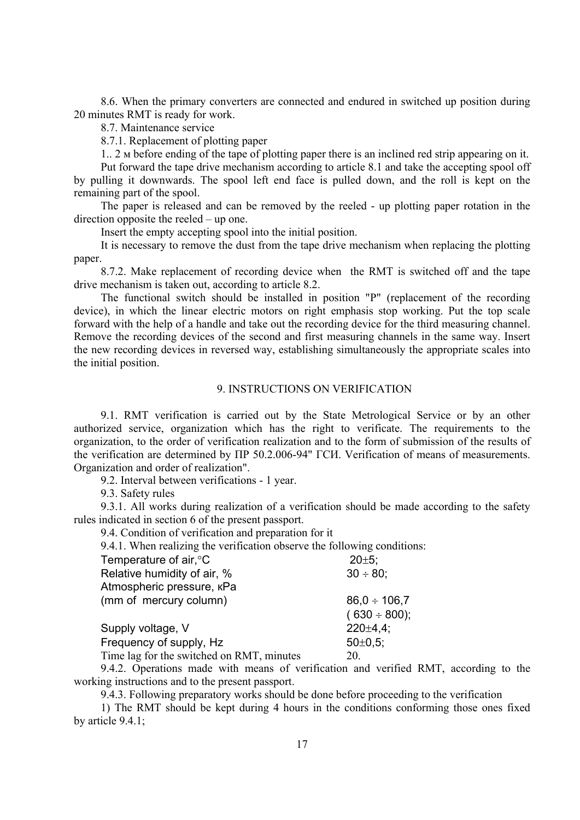8.6. When the primary converters are connected and endured in switched up position during 20 minutes RMT is ready for work.

8.7. Maintenance service

8.7.1. Replacement of plotting paper

1.. 2 м before ending of the tape of plotting paper there is an inclined red strip appearing on it.

Put forward the tape drive mechanism according to article 8.1 and take the accepting spool off by pulling it downwards. The spool left end face is pulled down, and the roll is kept on the remaining part of the spool.

The paper is released and can be removed by the reeled - up plotting paper rotation in the direction opposite the reeled – up one.

Insert the empty accepting spool into the initial position.

It is necessary to remove the dust from the tape drive mechanism when replacing the plotting paper.

8.7.2. Make replacement of recording device when the RMT is switched off and the tape drive mechanism is taken out, according to article 8.2.

The functional switch should be installed in position "P" (replacement of the recording device), in which the linear electric motors on right emphasis stop working. Put the top scale forward with the help of a handle and take out the recording device for the third measuring channel. Remove the recording devices of the second and first measuring channels in the same way. Insert the new recording devices in reversed way, establishing simultaneously the appropriate scales into the initial position.

#### 9. INSTRUCTIONS ON VERIFICATION

9.1. RMT verification is carried out by the State Metrological Service or by an other authorized service, organization which has the right to verificate. The requirements to the organization, to the order of verification realization and to the form of submission of the results of the verification are determined by ПР 50.2.006-94" ГСИ. Verification of means of measurements. Organization and order of realization".

9.2. Interval between verifications - 1 year.

9.3. Safety rules

9.3.1. All works during realization of a verification should be made according to the safety rules indicated in section 6 of the present passport.

9.4. Condition of verification and preparation for it

9.4.1. When realizing the verification observe the following conditions:

| Temperature of air, °C                                                                                                           |  | $20 \pm 5$ ;      |
|----------------------------------------------------------------------------------------------------------------------------------|--|-------------------|
| Relative humidity of air, %                                                                                                      |  | $30 \div 80$ ;    |
| Atmospheric pressure, KPa                                                                                                        |  |                   |
| (mm of mercury column)                                                                                                           |  | $86.0 \div 106.7$ |
|                                                                                                                                  |  | $(630 \div 800);$ |
| Supply voltage, V                                                                                                                |  | $220 \pm 4.4$ :   |
| Frequency of supply, Hz                                                                                                          |  | $50 \pm 0.5$ ;    |
| Time lag for the switched on RMT, minutes                                                                                        |  | 20.               |
| $\circ$ . The set of $\circ$ is a set of $\circ$ is a set of $\circ$ is a set of $\circ$ is a set of $\circ$ is a set of $\circ$ |  |                   |

9.4.2. Operations made with means of verification and verified RMT, according to the working instructions and to the present passport.

9.4.3. Following preparatory works should be done before proceeding to the verification

1) The RMT should be kept during 4 hours in the conditions conforming those ones fixed by article 9.4.1;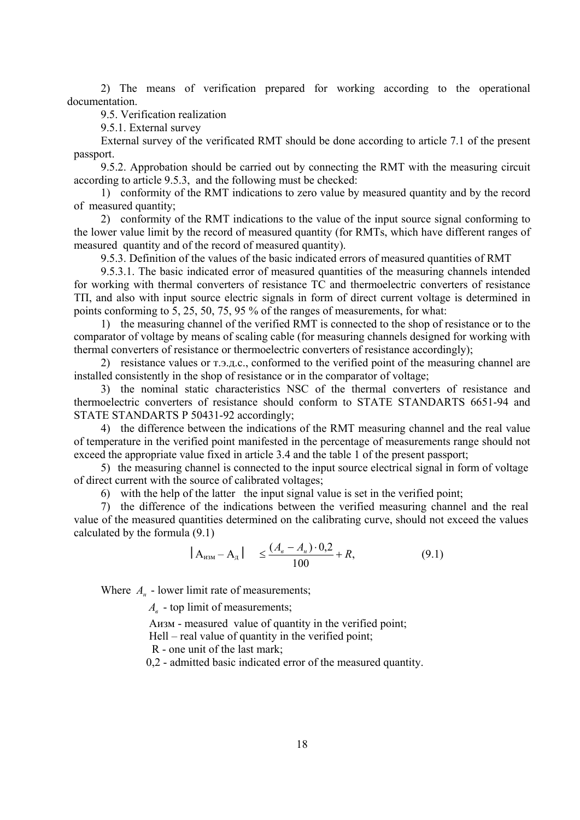2) The means of verification prepared for working according to the operational documentation.

9.5. Verification realization

9.5.1. External survey

External survey of the verificated RMT should be done according to article 7.1 of the present passport.

9.5.2. Approbation should be carried out by connecting the RMT with the measuring circuit according to article 9.5.3, and the following must be checked:

1) conformity of the RMT indications to zero value by measured quantity and by the record of measured quantity;

2) conformity of the RMT indications to the value of the input source signal conforming to the lower value limit by the record of measured quantity (for RMTs, which have different ranges of measured quantity and of the record of measured quantity).

9.5.3. Definition of the values of the basic indicated errors of measured quantities of RMT

9.5.3.1. The basic indicated error of measured quantities of the measuring channels intended for working with thermal converters of resistance TC and thermoelectric converters of resistance ТП, and also with input source electric signals in form of direct current voltage is determined in points conforming to 5, 25, 50, 75, 95 % of the ranges of measurements, for what:

1) the measuring channel of the verified RMT is connected to the shop of resistance or to the comparator of voltage by means of scaling cable (for measuring channels designed for working with thermal converters of resistance or thermoelectric converters of resistance accordingly);

2) resistance values or  $T_{1,2}$ , conformed to the verified point of the measuring channel are installed consistently in the shop of resistance or in the comparator of voltage;

3) the nominal static characteristics NSC of the thermal converters of resistance and thermoelectric converters of resistance should conform to STATE STANDARTS 6651-94 and STATE STANDARTS P 50431-92 accordingly;

4) the difference between the indications of the RMT measuring channel and the real value of temperature in the verified point manifested in the percentage of measurements range should not exceed the appropriate value fixed in article 3.4 and the table 1 of the present passport;

5) the measuring channel is connected to the input source electrical signal in form of voltage of direct current with the source of calibrated voltages;

6) with the help of the latter the input signal value is set in the verified point;

7) the difference of the indications between the verified measuring channel and the real value of the measured quantities determined on the calibrating curve, should not exceed the values calculated by the formula (9.1)

$$
|A_{\text{H3M}} - A_{\text{A}}| \le \frac{(A_s - A_{\text{A}}) \cdot 0.2}{100} + R,\tag{9.1}
$$

Where  $A_{\mu}$  - lower limit rate of measurements;

*A<sub>в</sub>* - top limit of measurements;

Аизм - measured value of quantity in the verified point;

Hell – real value of quantity in the verified point;

R - one unit of the last mark;

0,2 - admitted basic indicated error of the measured quantity.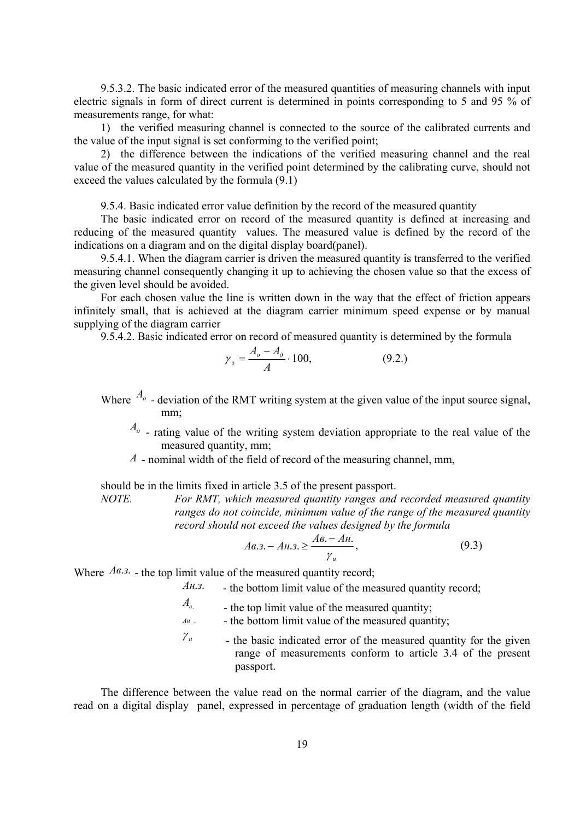9.5.3.2. The basic indicated error of the measured quantities of measuring channels with input electric signals in form of direct current is determined in points corresponding to 5 and 95 % of measurements range, for what:

1) the verified measuring channel is connected to the source of the calibrated currents and the value of the input signal is set conforming to the verified point;

2) the difference between the indications of the verified measuring channel and the real value of the measured quantity in the verified point determined by the calibrating curve, should not exceed the values calculated by the formula (9.1)

9.5.4. Basic indicated error value definition by the record of the measured quantity

The basic indicated error on record of the measured quantity is defined at increasing and reducing of the measured quantity values. The measured value is defined by the record of the indications on a diagram and on the digital display board(panel).

9.5.4.1. When the diagram carrier is driven the measured quantity is transferred to the verified measuring channel consequently changing it up to achieving the chosen value so that the excess of the given level should be avoided.

For each chosen value the line is written down in the way that the effect of friction appears infinitely small, that is achieved at the diagram carrier minimum speed expense or by manual supplying of the diagram carrier

9.5.4.2. Basic indicated error on record of measured quantity is determined by the formula

$$
\gamma_s = \frac{A_o - A_o}{A} \cdot 100,\tag{9.2.}
$$

- Where  $A_0$  deviation of the RMT writing system at the given value of the input source signal, mm;
	- *Ад* rating value of the writing system deviation appropriate to the real value of the measured quantity, mm;
	- *А* nominal width of the field of record of the measuring channel, mm,

should be in the limits fixed in article 3.5 of the present passport.

*NOTE. For RMT, which measured quantity ranges and recorded measured quantity ranges do not coincide, minimum value of the range of the measured quantity record should not exceed the values designed by the formula*

$$
A\epsilon.3. - A\mu.3. \ge \frac{A\epsilon. - A\mu}{\gamma_u},
$$
\n(9.3)

Where  $A_{\alpha,3}$ . - the top limit value of the measured quantity record;

*Ан*.*з*. - the bottom limit value of the measured quantity record;

 $A_{\epsilon}$  - the top limit value of the measured quantity;

*AH*  $\cdot$  - the bottom limit value of the measured quantity;

 $\gamma_u$  - the basic indicated error of the measured quantity for the given range of measurements conform to article 3.4 of the present passport.

The difference between the value read on the normal carrier of the diagram, and the value read on a digital display panel, expressed in percentage of graduation length (width of the field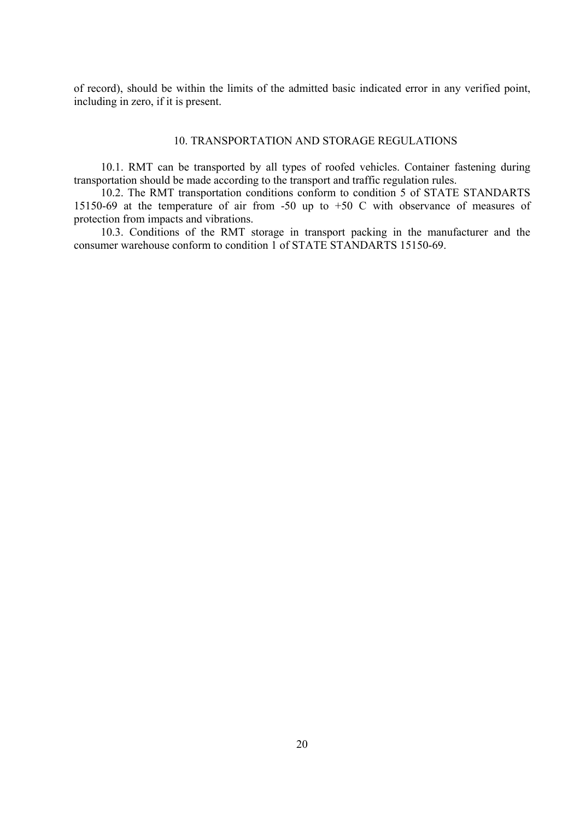of record), should be within the limits of the admitted basic indicated error in any verified point, including in zero, if it is present.

#### 10. TRANSPORTATION AND STORAGE REGULATIONS

10.1. RMT can be transported by all types of roofed vehicles. Container fastening during transportation should be made according to the transport and traffic regulation rules.

10.2. The RMT transportation conditions conform to condition 5 of STATE STANDARTS 15150-69 at the temperature of air from -50 up to +50 С with observance of measures of protection from impacts and vibrations.

10.3. Conditions of the RMT storage in transport packing in the manufacturer and the consumer warehouse conform to condition 1 of STATE STANDARTS 15150-69.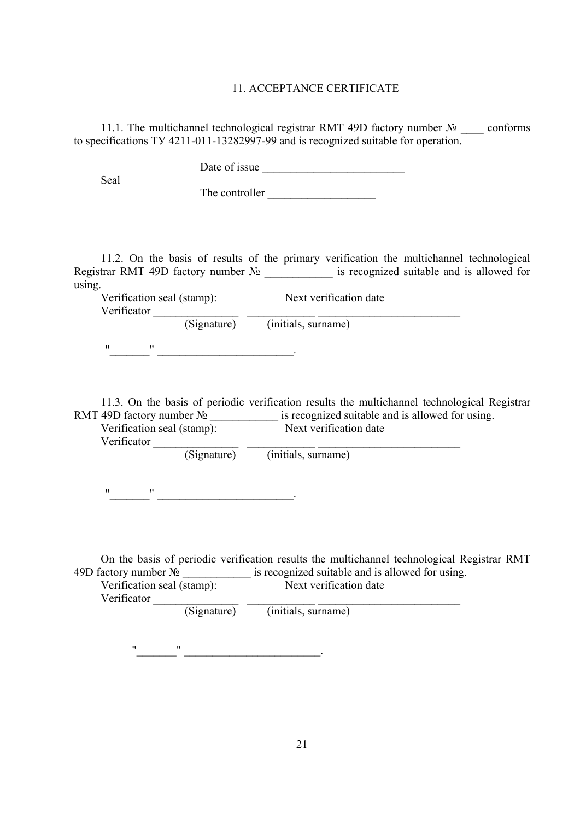#### 11. ACCEPTANCE CERTIFICATE

11.1. The multichannel technological registrar RMT 49D factory number  $\mathcal{N}_2$  conforms to specifications TУ 4211-011-13282997-99 and is recognized suitable for operation.

Date of issue \_\_\_\_\_\_\_\_\_\_\_\_\_\_\_\_\_\_\_\_\_\_\_\_\_

Seal

The controller \_\_\_\_\_\_\_\_\_\_\_\_\_\_\_\_\_\_\_

11.2. On the basis of results of the primary verification the multichannel technological Registrar RMT 49D factory number N<sup>o</sup> \_\_\_\_\_\_\_\_\_\_\_\_\_\_ is recognized suitable and is allowed for using.

| Verificator | Verification seal (stamp): | Next verification date |
|-------------|----------------------------|------------------------|
|             | (Signature)                | (initials, surname)    |
| "<br>"      |                            |                        |

11.3. On the basis of periodic verification results the multichannel technological Registrar RMT 49D factory number  $\mathbb{N}^{\circ}$  \_\_\_\_\_\_\_\_\_\_\_\_\_\_\_\_ is recognized suitable and is allowed for using. Verification seal (stamp): Next verification date

| (Signature) | (initials, surname) |  |
|-------------|---------------------|--|

"\_\_\_\_\_\_\_" \_\_\_\_\_\_\_\_\_\_\_\_\_\_\_\_\_\_\_\_\_\_\_\_.

On the basis of periodic verification results the multichannel technological Registrar RMT 49D factory number № \_\_\_\_\_\_\_\_\_\_\_\_\_\_ is recognized suitable and is allowed for using.

| Verification seal (stamp): |             | Next verification date |  |
|----------------------------|-------------|------------------------|--|
| Verificator                |             |                        |  |
|                            | (Signature) | (initials, surname)    |  |

"\_\_\_\_\_\_\_" \_\_\_\_\_\_\_\_\_\_\_\_\_\_\_\_\_\_\_\_\_\_\_\_.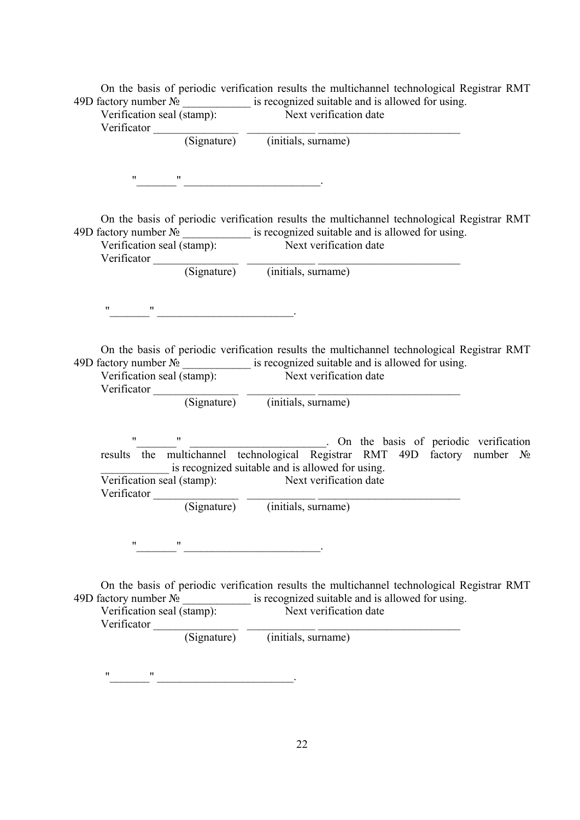| On the basis of periodic verification results the multichannel technological Registrar RMT                                    |
|-------------------------------------------------------------------------------------------------------------------------------|
| 49D factory number $\mathcal{N}_2$ ______________ is recognized suitable and is allowed for using.                            |
| Verification seal (stamp): Next verification date                                                                             |
|                                                                                                                               |
| Verificator (Signature) (initials, surname)                                                                                   |
|                                                                                                                               |
|                                                                                                                               |
| $\mathbf{m}$ and $\mathbf{m}$ are the contract of $\mathbf{m}$ and $\mathbf{m}$ are the contract of $\mathbf{m}$              |
|                                                                                                                               |
|                                                                                                                               |
| On the basis of periodic verification results the multichannel technological Registrar RMT                                    |
| 49D factory number $\mathbb{N}_2$ _______________ is recognized suitable and is allowed for using.                            |
| Verification seal (stamp): Next verification date                                                                             |
|                                                                                                                               |
| Verificator (Signature) (initials, surname)                                                                                   |
|                                                                                                                               |
|                                                                                                                               |
| $\label{eq:10} \mathbf{u} = \left\{ \begin{array}{cc} \mathbf{u} & \mathbf{u} \\ \mathbf{u} & \mathbf{u} \end{array} \right.$ |
|                                                                                                                               |
|                                                                                                                               |
| On the basis of periodic verification results the multichannel technological Registrar RMT                                    |
| 49D factory number $\mathbb{N}_2$ _______________ is recognized suitable and is allowed for using.                            |
| Verification seal (stamp): Next verification date                                                                             |
|                                                                                                                               |
| Verificator (Signature) (initials, surname)                                                                                   |
|                                                                                                                               |
|                                                                                                                               |
| $\mathbf{u}$ and $\mathbf{u}$                                                                                                 |
| results $\frac{1}{\pi}$ the multichannel technological Registrar RMT 49D factory number $N_2$                                 |
| is recognized suitable and is allowed for using.                                                                              |
| Verification seal (stamp): Next verification date                                                                             |
|                                                                                                                               |
| Verificator (Signature) (initials, surname)                                                                                   |
|                                                                                                                               |
|                                                                                                                               |
| 11                                                                                                                            |
|                                                                                                                               |
|                                                                                                                               |
|                                                                                                                               |
| On the basis of periodic verification results the multichannel technological Registrar RMT                                    |
| 49D factory number $\mathbb{N}^{\circ}$ is recognized suitable and is allowed for using.                                      |
| Verification seal (stamp): Next verification date                                                                             |
| Verificator (Signature) (initials, surname)                                                                                   |
|                                                                                                                               |
|                                                                                                                               |
|                                                                                                                               |
| 11<br>11                                                                                                                      |